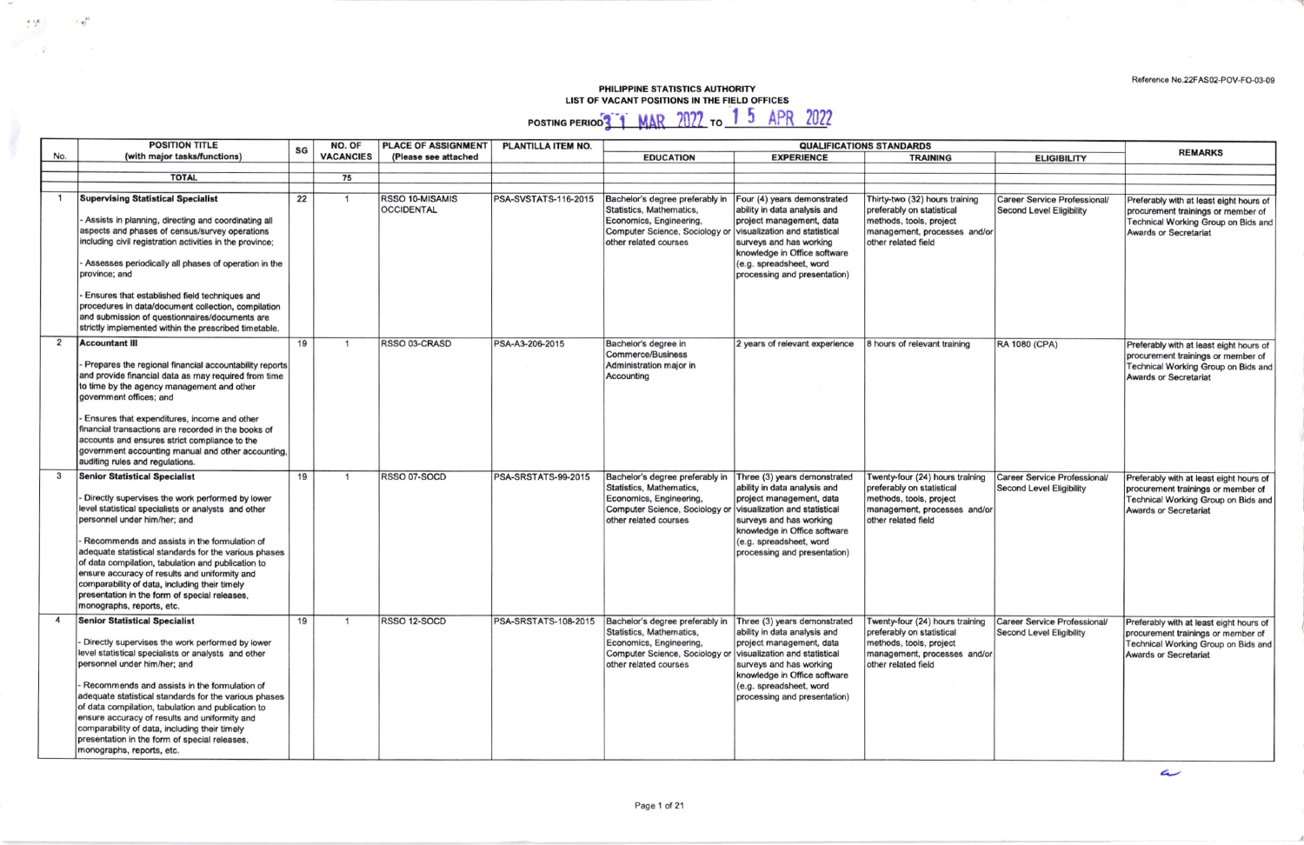Reference No.22FAS02-POV-FO-03-09

## PHILIPPINE STATISTICS AUTHORITY<br>LIST OF VACANT POSITIONS IN THE FIELD OFFICES

ty.

 $\sim$   $\sim$   $^{-10}$ 

POSTING PERIOD<sup>3</sup> | MAR 2022 To 1 5 APR 2022

|     | <b>POSITION TITLE</b>                                                                                                                                                                                                                                                                                                                                                                                                                                                                                                         | SG | NO. OF           | <b>PLACE OF ASSIGNMENT</b>           | PLANTILLA ITEM NO.   | <b>QUALIFICATIONS STANDARDS</b>                                                                                                                                                 |                                                                                                                                                                                                                                                |                                                                                                                                                |                                                                        | <b>REMARKS</b>                                                                                                                                       |
|-----|-------------------------------------------------------------------------------------------------------------------------------------------------------------------------------------------------------------------------------------------------------------------------------------------------------------------------------------------------------------------------------------------------------------------------------------------------------------------------------------------------------------------------------|----|------------------|--------------------------------------|----------------------|---------------------------------------------------------------------------------------------------------------------------------------------------------------------------------|------------------------------------------------------------------------------------------------------------------------------------------------------------------------------------------------------------------------------------------------|------------------------------------------------------------------------------------------------------------------------------------------------|------------------------------------------------------------------------|------------------------------------------------------------------------------------------------------------------------------------------------------|
| No. | (with major tasks/functions)                                                                                                                                                                                                                                                                                                                                                                                                                                                                                                  |    | <b>VACANCIES</b> | (Please see attached                 |                      | <b>EDUCATION</b>                                                                                                                                                                | <b>EXPERIENCE</b>                                                                                                                                                                                                                              | <b>TRAINING</b>                                                                                                                                | <b>ELIGIBILITY</b>                                                     |                                                                                                                                                      |
|     |                                                                                                                                                                                                                                                                                                                                                                                                                                                                                                                               |    |                  |                                      |                      |                                                                                                                                                                                 |                                                                                                                                                                                                                                                |                                                                                                                                                |                                                                        |                                                                                                                                                      |
|     | <b>TOTAL</b>                                                                                                                                                                                                                                                                                                                                                                                                                                                                                                                  |    | 75               |                                      |                      |                                                                                                                                                                                 |                                                                                                                                                                                                                                                |                                                                                                                                                |                                                                        |                                                                                                                                                      |
|     |                                                                                                                                                                                                                                                                                                                                                                                                                                                                                                                               |    |                  |                                      |                      |                                                                                                                                                                                 |                                                                                                                                                                                                                                                |                                                                                                                                                |                                                                        |                                                                                                                                                      |
|     | <b>Supervising Statistical Specialist</b><br>Assists in planning, directing and coordinating all<br>aspects and phases of census/survey operations<br>including civil registration activities in the province;<br>Assesses periodically all phases of operation in the<br>province; and<br>Ensures that established field techniques and<br>procedures in data/document collection, compilation<br>and submission of questionnaires/documents are<br>strictly implemented within the prescribed timetable.                    | 22 | $\overline{1}$   | RSSO 10-MISAMIS<br><b>OCCIDENTAL</b> | PSA-SVSTATS-116-2015 | Bachelor's degree preferably in<br>Statistics, Mathematics,<br>Economics, Engineering,<br>Computer Science, Sociology or<br>other related courses                               | Four (4) years demonstrated<br>ability in data analysis and<br>project management, data<br>visualization and statistical<br>surveys and has working<br>knowledge in Office software<br>(e.g. spreadsheet, word<br>processing and presentation) | Thirty-two (32) hours training<br>preferably on statistical<br>methods, tools, project<br>management, processes and/or<br>other related field  | <b>Career Service Professional/</b><br><b>Second Level Eligibility</b> | Preferably with at least eight hours of<br>procurement trainings or member of<br>Technical Working Group on Bids and<br><b>Awards or Secretariat</b> |
| 2   | <b>Accountant III</b><br>Prepares the regional financial accountability reports<br>and provide financial data as may required from time<br>to time by the agency management and other<br>government offices; and<br>Ensures that expenditures, income and other<br>financial transactions are recorded in the books of<br>accounts and ensures strict compliance to the<br>government accounting manual and other accounting,<br>auditing rules and regulations.                                                              | 19 | $\overline{1}$   | RSSO 03-CRASD                        | PSA-A3-206-2015      | Bachelor's degree in<br><b>Commerce/Business</b><br>Administration major in<br>Accounting                                                                                       | 2 years of relevant experience                                                                                                                                                                                                                 | 8 hours of relevant training                                                                                                                   | RA 1080 (CPA)                                                          | Preferably with at least eight hours of<br>procurement trainings or member of<br>Technical Working Group on Bids and<br><b>Awards or Secretariat</b> |
| 3   | <b>Senior Statistical Specialist</b><br>Directly supervises the work performed by lower<br>level statistical specialists or analysts and other<br>personnel under him/her; and<br>Recommends and assists in the formulation of<br>adequate statistical standards for the various phases<br>of data compilation, tabulation and publication to<br>ensure accuracy of results and uniformity and<br>comparability of data, including their timely<br>presentation in the form of special releases,<br>monographs, reports, etc. | 19 | $\overline{1}$   | RSSO 07-SOCD                         | PSA-SRSTATS-99-2015  | Bachelor's degree preferably in<br>Statistics, Mathematics,<br>Economics, Engineering,<br>Computer Science, Sociology or visualization and statistical<br>other related courses | Three (3) years demonstrated<br>ability in data analysis and<br>project management, data<br>surveys and has working<br>knowledge in Office software<br>(e.g. spreadsheet, word<br>processing and presentation)                                 | Twenty-four (24) hours training<br>preferably on statistical<br>methods, tools, project<br>management, processes and/or<br>other related field | <b>Career Service Professional/</b><br><b>Second Level Eligibility</b> | Preferably with at least eight hours of<br>procurement trainings or member of<br>Technical Working Group on Bids and<br><b>Awards or Secretariat</b> |
|     | <b>Senior Statistical Specialist</b><br>Directly supervises the work performed by lower<br>level statistical specialists or analysts and other<br>personnel under him/her; and<br>Recommends and assists in the formulation of<br>adequate statistical standards for the various phases<br>of data compilation, tabulation and publication to<br>ensure accuracy of results and uniformity and<br>comparability of data, including their timely<br>presentation in the form of special releases,<br>monographs, reports, etc. | 19 | $\mathbf{1}$     | RSSO 12-SOCD                         | PSA-SRSTATS-108-2015 | Bachelor's degree preferably in<br>Statistics, Mathematics,<br>Economics, Engineering,<br>Computer Science, Sociology or visualization and statistical<br>other related courses | Three (3) years demonstrated<br>ability in data analysis and<br>project management, data<br>surveys and has working<br>knowledge in Office software<br>(e.g. spreadsheet, word<br>processing and presentation)                                 | Twenty-four (24) hours training<br>preferably on statistical<br>methods, tools, project<br>management, processes and/or<br>other related field | Career Service Professional/<br>Second Level Eligibility               | Preferably with at least eight hours of<br>procurement trainings or member of<br>Technical Working Group on Bids and<br><b>Awards or Secretariat</b> |

 $\overline{\mathcal{L}}$